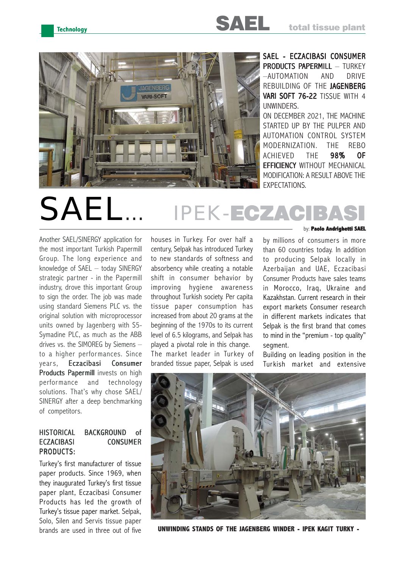

SAEL - ECZACIBASI CONSUMER **PRODUCTS PAPERMILL - TURKEY** –AUTOMATION AND DRIVE REBUILDING OF THE JAGENBERG VARI SOFT 76-22 TISSUE WITH 4 UNWINDERS. ON DECEMBER 2021, THE MACHINE STARTED UP BY THE PULPER AND AUTOMATION CONTROL SYSTEM MODERNIZATION. THE REBO ACHIEVED THE 98% OF

**EFFICIENCY WITHOUT MECHANICAL** MODIFICATION: A RESULT ABOVE THE EXPECTATIONS.

# SAEL… IPEK-ECZACIB

Another SAEL/SINERGY application for the most important Turkish Papermill Group. The long experience and knowledge of SAEL – today SINERGY strategic partner - in the Papermill industry, drove this important Group to sign the order. The job was made using standard Siemens PLC vs. the original solution with microprocessor units owned by Jagenberg with S5- Symadine PLC, as much as the ABB drives vs. the SIMOREG by Siemens – to a higher performances. Since years, Eczacibasi Consumer Products Papermill invests on high performance and technology solutions. That's why chose SAEL/ SINERGY after a deep benchmarking of competitors.

## HISTORICAL BACKGROUND of ECZACIBASI CONSUMER PRODUCTS:

Turkey's first manufacturer of tissue paper products. Since 1969, when they inaugurated Turkey's first tissue paper plant, Eczacibasi Consumer Products has led the growth of Turkey's tissue paper market. Selpak, Solo, Silen and Servis tissue paper brands are used in three out of five

houses in Turkey. For over half a century, Selpak has introduced Turkey to new standards of softness and absorbency while creating a notable shift in consumer behavior by improving hygiene awareness throughout Turkish society. Per capita tissue paper consumption has increased from about 20 grams at the beginning of the 1970s to its current level of 6.5 kilograms, and Selpak has played a pivotal role in this change. The market leader in Turkey of branded tissue paper, Selpak is used by: **Paolo Andrighetti SAEL**

by millions of consumers in more than 60 countries today. In addition to producing Selpak locally in Azerbaijan and UAE, Eczacibasi Consumer Products have sales teams in Morocco, Iraq, Ukraine and Kazakhstan. Current research in their export markets Consumer research in different markets indicates that Selpak is the first brand that comes to mind in the "premium - top quality" segment.

Building on leading position in the Turkish market and extensive



**UNWINDING STANDS OF THE JAGENBERG WINDER - IPEK KAGIT TURKY -**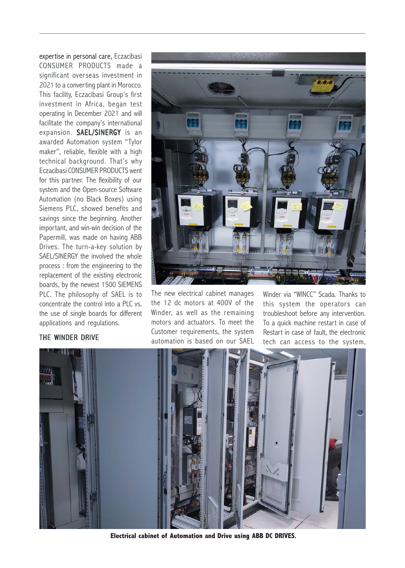expertise in personal care, Eczacibasi CONSUMER PRODUCTS made a significant overseas investment in 2021 to a converting plant in Morocco. This facility, Eczacibasi Group's first investment in Africa, began test operating in December 2021 and will facilitate the company's international expansion. SAEL/SINERGY is an awarded Automation system "Tylor maker", reliable, flexible with a high technical background. That's why Eczacibasi CONSUMER PRODUCTS went for this partner. The flexibility of our system and the Open-source Software Automation (no Black Boxes) using Siemens PLC, showed benefits and savings since the beginning. Another important, and win-win decision of the Papermill, was made on having ABB Drives. The turn-a-key solution by SAEL/SINERGY the involved the whole process : from the engineering to the replacement of the existing electronic boards, by the newest 1500 SIEMENS PLC. The philosophy of SAEL is to concentrate the control into a PLC vs. the use of single boards for different applications and regulations.

The new electrical cabinet manages the 12 dc motors at 400V of the Winder, as well as the remaining motors and actuators. To meet the Customer requirements, the system automation is based on our SAEL

Winder via "WINCC" Scada. Thanks to this system the operators can troubleshoot before any intervention. To a quick machine restart in case of Restart in case of fault, the electronic tech can access to the system,



**Electrical cabinet of Automation and Drive using ABB DC DRIVES.**

## THE WINDER DRIVE